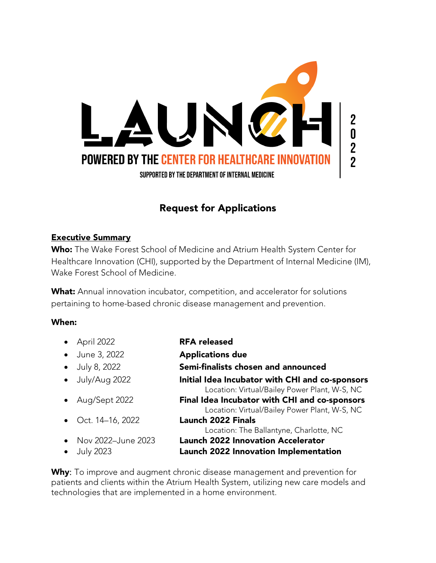

# Request for Applications

### Executive Summary

Who: The Wake Forest School of Medicine and Atrium Health System Center for Healthcare Innovation (CHI), supported by the Department of Internal Medicine (IM), Wake Forest School of Medicine.

What: Annual innovation incubator, competition, and accelerator for solutions pertaining to home-based chronic disease management and prevention.

#### When:

| $\bullet$ April 2022                        | <b>RFA released</b>                                                                              |
|---------------------------------------------|--------------------------------------------------------------------------------------------------|
| • June 3, 2022                              | <b>Applications due</b>                                                                          |
| $\bullet$ July 8, 2022                      | Semi-finalists chosen and announced                                                              |
| • July/Aug 2022                             | Initial Idea Incubator with CHI and co-sponsors<br>Location: Virtual/Bailey Power Plant, W-S, NC |
| • Aug/Sept 2022                             | Final Idea Incubator with CHI and co-sponsors<br>Location: Virtual/Bailey Power Plant, W-S, NC   |
| • Oct. $14-16$ , 2022                       | <b>Launch 2022 Finals</b><br>Location: The Ballantyne, Charlotte, NC                             |
| • Nov 2022-June 2023<br>$\bullet$ July 2023 | <b>Launch 2022 Innovation Accelerator</b><br>Launch 2022 Innovation Implementation               |

Why: To improve and augment chronic disease management and prevention for patients and clients within the Atrium Health System, utilizing new care models and technologies that are implemented in a home environment.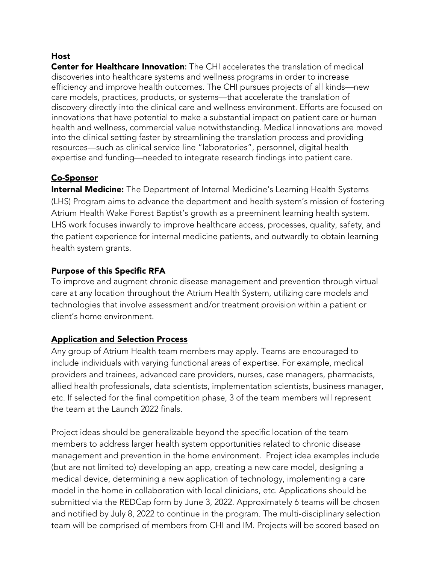# Host

Center for Healthcare Innovation: The CHI accelerates the translation of medical discoveries into healthcare systems and wellness programs in order to increase efficiency and improve health outcomes. The CHI pursues projects of all kinds—new care models, practices, products, or systems—that accelerate the translation of discovery directly into the clinical care and wellness environment. Efforts are focused on innovations that have potential to make a substantial impact on patient care or human health and wellness, commercial value notwithstanding. Medical innovations are moved into the clinical setting faster by streamlining the translation process and providing resources—such as clinical service line "laboratories", personnel, digital health expertise and funding—needed to integrate research findings into patient care.

# Co-Sponsor

**Internal Medicine:** The Department of Internal Medicine's Learning Health Systems (LHS) Program aims to advance the department and health system's mission of fostering Atrium Health Wake Forest Baptist's growth as a preeminent learning health system. LHS work focuses inwardly to improve healthcare access, processes, quality, safety, and the patient experience for internal medicine patients, and outwardly to obtain learning health system grants.

# Purpose of this Specific RFA

To improve and augment chronic disease management and prevention through virtual care at any location throughout the Atrium Health System, utilizing care models and technologies that involve assessment and/or treatment provision within a patient or client's home environment.

# Application and Selection Process

Any group of Atrium Health team members may apply. Teams are encouraged to include individuals with varying functional areas of expertise. For example, medical providers and trainees, advanced care providers, nurses, case managers, pharmacists, allied health professionals, data scientists, implementation scientists, business manager, etc. If selected for the final competition phase, 3 of the team members will represent the team at the Launch 2022 finals.

Project ideas should be generalizable beyond the specific location of the team members to address larger health system opportunities related to chronic disease management and prevention in the home environment. Project idea examples include (but are not limited to) developing an app, creating a new care model, designing a medical device, determining a new application of technology, implementing a care model in the home in collaboration with local clinicians, etc. Applications should be submitted via the REDCap form by June 3, 2022. Approximately 6 teams will be chosen and notified by July 8, 2022 to continue in the program. The multi-disciplinary selection team will be comprised of members from CHI and IM. Projects will be scored based on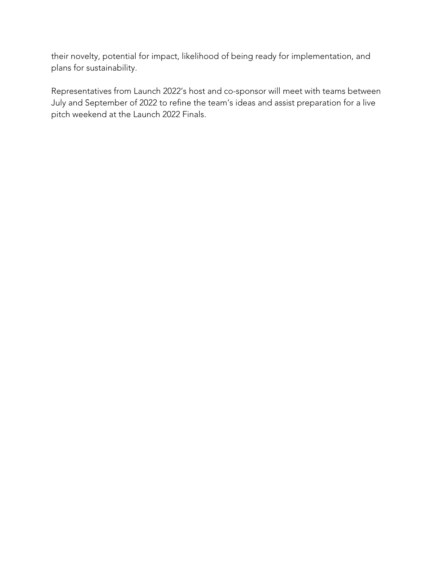their novelty, potential for impact, likelihood of being ready for implementation, and plans for sustainability.

Representatives from Launch 2022's host and co-sponsor will meet with teams between July and September of 2022 to refine the team's ideas and assist preparation for a live pitch weekend at the Launch 2022 Finals.